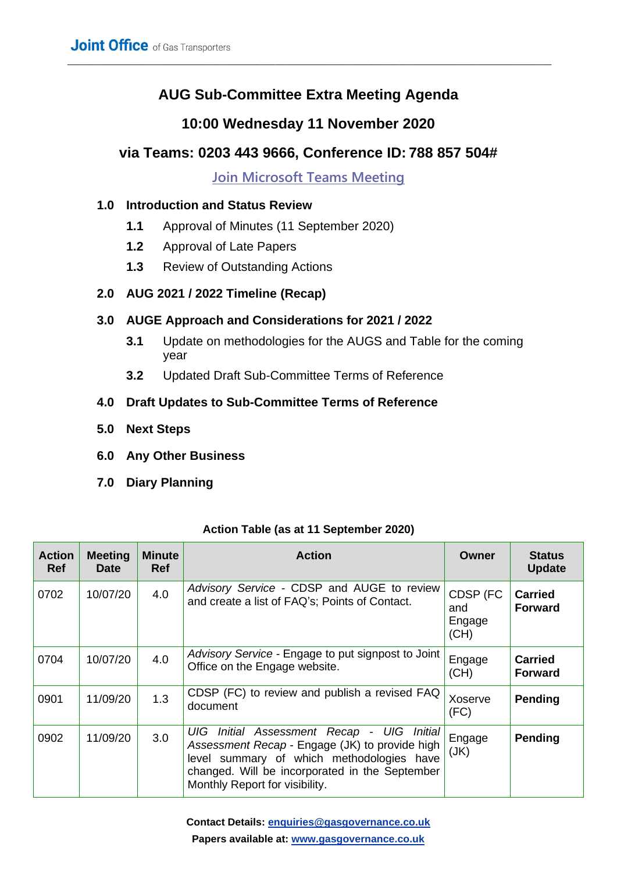# **AUG Sub-Committee Extra Meeting Agenda**

\_\_\_\_\_\_\_\_\_\_\_\_\_\_\_\_\_\_\_\_\_\_\_\_\_\_\_\_\_\_\_\_\_\_\_\_\_\_\_\_\_\_\_\_\_\_\_\_\_\_\_\_\_\_\_\_\_\_\_\_\_\_\_\_\_\_\_\_\_\_\_\_\_\_\_\_\_\_\_\_\_\_\_\_\_\_\_\_\_\_\_\_\_\_\_\_\_\_\_\_\_\_\_\_\_

# **10:00 Wednesday 11 November 2020**

# **via Teams: 0203 443 9666, Conference ID: 788 857 504#**

**[Join Microsoft Teams Meeting](https://teams.microsoft.com/l/meetup-join/19%3ameeting_MjQ0Mjk0OTMtNDM0Yi00MTcxLTkwZGItM2NiNzdjMDc1MDNh%40thread.v2/0?context=%7b%22Tid%22%3a%225dd0cfe3-f6c7-409b-9804-4f3c4da6a57c%22%2c%22Oid%22%3a%22f1613f19-93a0-4707-aa1e-69182dc17703%22%7d)**

#### **1.0 Introduction and Status Review**

- **1.1** Approval of Minutes (11 September 2020)
- **1.2** Approval of Late Papers
- **1.3** Review of Outstanding Actions

## **2.0 AUG 2021 / 2022 Timeline (Recap)**

## **3.0 AUGE Approach and Considerations for 2021 / 2022**

- **3.1** Update on methodologies for the AUGS and Table for the coming year
- **3.2** Updated Draft Sub-Committee Terms of Reference

## **4.0 Draft Updates to Sub-Committee Terms of Reference**

- **5.0 Next Steps**
- **6.0 Any Other Business**
- **7.0 Diary Planning**

| <b>Action</b><br><b>Ref</b> | <b>Meeting</b><br><b>Date</b> | <b>Minute</b><br><b>Ref</b> | <b>Action</b>                                                                                                                                                                                                                     | Owner                             | <b>Status</b><br><b>Update</b>   |
|-----------------------------|-------------------------------|-----------------------------|-----------------------------------------------------------------------------------------------------------------------------------------------------------------------------------------------------------------------------------|-----------------------------------|----------------------------------|
| 0702                        | 10/07/20                      | 4.0                         | Advisory Service - CDSP and AUGE to review<br>and create a list of FAQ's; Points of Contact.                                                                                                                                      | CDSP (FC<br>and<br>Engage<br>(CH) | <b>Carried</b><br><b>Forward</b> |
| 0704                        | 10/07/20                      | 4.0                         | Advisory Service - Engage to put signpost to Joint<br>Office on the Engage website.                                                                                                                                               | Engage<br>(CH)                    | <b>Carried</b><br><b>Forward</b> |
| 0901                        | 11/09/20                      | 1.3                         | CDSP (FC) to review and publish a revised FAQ<br>document                                                                                                                                                                         | Xoserve<br>(FC)                   | Pending                          |
| 0902                        | 11/09/20                      | 3.0                         | Initial Assessment Recap - UIG Initial<br>UIG.<br>Assessment Recap - Engage (JK) to provide high<br>level summary of which methodologies have<br>changed. Will be incorporated in the September<br>Monthly Report for visibility. | Engage<br>(JK)                    | Pending                          |

#### **Action Table (as at 11 September 2020)**

**Contact Details: [enquiries@gasgovernance.co.uk](mailto:enquiries@gasgovernance.co.uk) Papers available at: [www.gasgovernance.co.uk](https://www.gasgovernance.co.uk/)**